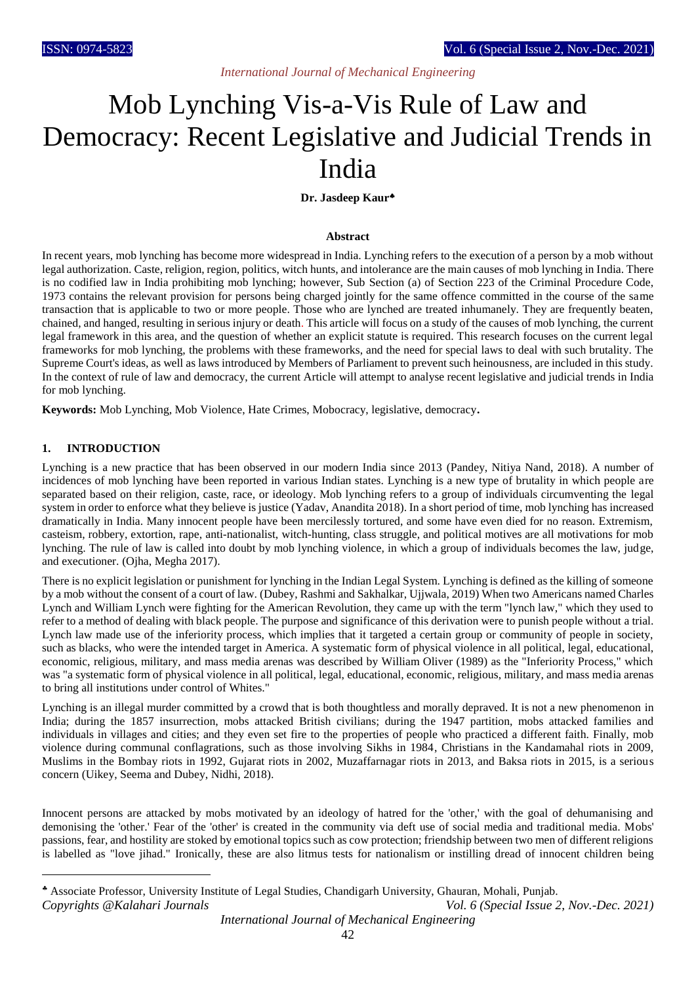# *International Journal of Mechanical Engineering*

# Mob Lynching Vis-a-Vis Rule of Law and Democracy: Recent Legislative and Judicial Trends in India

#### **Dr. Jasdeep Kaur**

#### **Abstract**

In recent years, mob lynching has become more widespread in India. Lynching refers to the execution of a person by a mob without legal authorization. Caste, religion, region, politics, witch hunts, and intolerance are the main causes of mob lynching in India. There is no codified law in India prohibiting mob lynching; however, Sub Section (a) of Section 223 of the Criminal Procedure Code, 1973 contains the relevant provision for persons being charged jointly for the same offence committed in the course of the same transaction that is applicable to two or more people. Those who are lynched are treated inhumanely. They are frequently beaten, chained, and hanged, resulting in serious injury or death. This article will focus on a study of the causes of mob lynching, the current legal framework in this area, and the question of whether an explicit statute is required. This research focuses on the current legal frameworks for mob lynching, the problems with these frameworks, and the need for special laws to deal with such brutality. The Supreme Court's ideas, as well as laws introduced by Members of Parliament to prevent such heinousness, are included in this study. In the context of rule of law and democracy, the current Article will attempt to analyse recent legislative and judicial trends in India for mob lynching.

**Keywords:** Mob Lynching, Mob Violence, Hate Crimes, Mobocracy, legislative, democracy**.**

#### **1. INTRODUCTION**

1

Lynching is a new practice that has been observed in our modern India since 2013 (Pandey, Nitiya Nand, 2018). A number of incidences of mob lynching have been reported in various Indian states. Lynching is a new type of brutality in which people are separated based on their religion, caste, race, or ideology. Mob lynching refers to a group of individuals circumventing the legal system in order to enforce what they believe is justice (Yadav, Anandita 2018). In a short period of time, mob lynching has increased dramatically in India. Many innocent people have been mercilessly tortured, and some have even died for no reason. Extremism, casteism, robbery, extortion, rape, anti-nationalist, witch-hunting, class struggle, and political motives are all motivations for mob lynching. The rule of law is called into doubt by mob lynching violence, in which a group of individuals becomes the law, judge, and executioner. (Ojha, Megha 2017).

There is no explicit legislation or punishment for lynching in the Indian Legal System. Lynching is defined as the killing of someone by a mob without the consent of a court of law. (Dubey, Rashmi and Sakhalkar, Ujjwala, 2019) When two Americans named Charles Lynch and William Lynch were fighting for the American Revolution, they came up with the term "lynch law," which they used to refer to a method of dealing with black people. The purpose and significance of this derivation were to punish people without a trial. Lynch law made use of the inferiority process, which implies that it targeted a certain group or community of people in society, such as blacks, who were the intended target in America. A systematic form of physical violence in all political, legal, educational, economic, religious, military, and mass media arenas was described by William Oliver (1989) as the "Inferiority Process," which was "a systematic form of physical violence in all political, legal, educational, economic, religious, military, and mass media arenas to bring all institutions under control of Whites."

Lynching is an illegal murder committed by a crowd that is both thoughtless and morally depraved. It is not a new phenomenon in India; during the 1857 insurrection, mobs attacked British civilians; during the 1947 partition, mobs attacked families and individuals in villages and cities; and they even set fire to the properties of people who practiced a different faith. Finally, mob violence during communal conflagrations, such as those involving Sikhs in 1984, Christians in the Kandamahal riots in 2009, Muslims in the Bombay riots in 1992, Gujarat riots in 2002, Muzaffarnagar riots in 2013, and Baksa riots in 2015, is a serious concern (Uikey, Seema and Dubey, Nidhi, 2018).

Innocent persons are attacked by mobs motivated by an ideology of hatred for the 'other,' with the goal of dehumanising and demonising the 'other.' Fear of the 'other' is created in the community via deft use of social media and traditional media. Mobs' passions, fear, and hostility are stoked by emotional topics such as cow protection; friendship between two men of different religions is labelled as "love jihad." Ironically, these are also litmus tests for nationalism or instilling dread of innocent children being

*Copyrights @Kalahari Journals Vol. 6 (Special Issue 2, Nov.-Dec. 2021)* Associate Professor, University Institute of Legal Studies, Chandigarh University, Ghauran, Mohali, Punjab.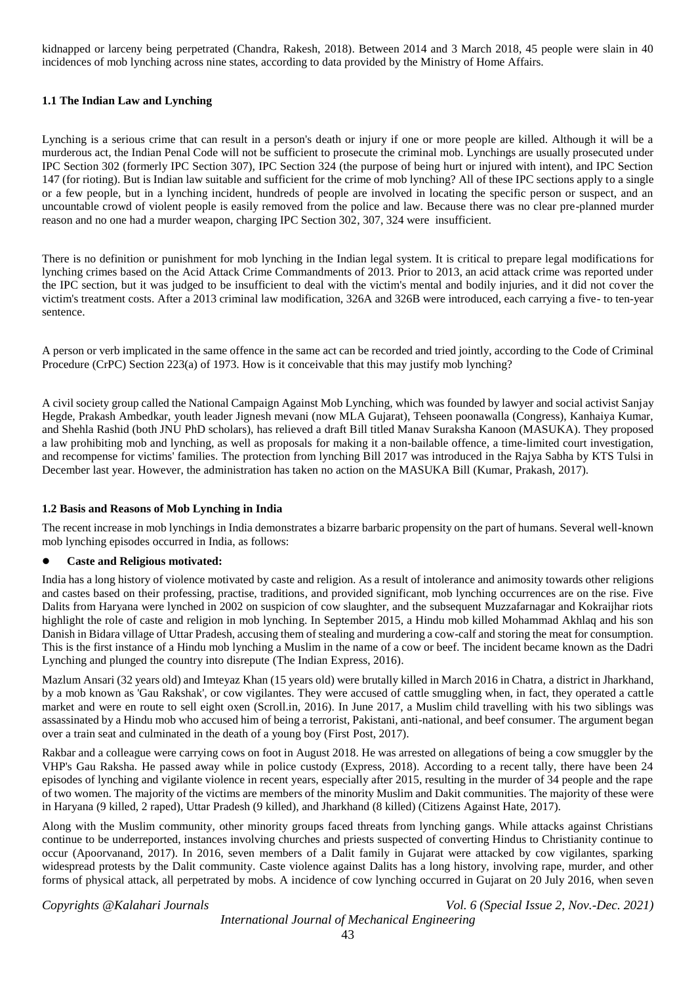kidnapped or larceny being perpetrated (Chandra, Rakesh, 2018). Between 2014 and 3 March 2018, 45 people were slain in 40 incidences of mob lynching across nine states, according to data provided by the Ministry of Home Affairs.

#### **1.1 The Indian Law and Lynching**

Lynching is a serious crime that can result in a person's death or injury if one or more people are killed. Although it will be a murderous act, the Indian Penal Code will not be sufficient to prosecute the criminal mob. Lynchings are usually prosecuted under IPC Section 302 (formerly IPC Section 307), IPC Section 324 (the purpose of being hurt or injured with intent), and IPC Section 147 (for rioting). But is Indian law suitable and sufficient for the crime of mob lynching? All of these IPC sections apply to a single or a few people, but in a lynching incident, hundreds of people are involved in locating the specific person or suspect, and an uncountable crowd of violent people is easily removed from the police and law. Because there was no clear pre-planned murder reason and no one had a murder weapon, charging IPC Section 302, 307, 324 were insufficient.

There is no definition or punishment for mob lynching in the Indian legal system. It is critical to prepare legal modifications for lynching crimes based on the Acid Attack Crime Commandments of 2013. Prior to 2013, an acid attack crime was reported under the IPC section, but it was judged to be insufficient to deal with the victim's mental and bodily injuries, and it did not cover the victim's treatment costs. After a 2013 criminal law modification, 326A and 326B were introduced, each carrying a five- to ten-year sentence.

A person or verb implicated in the same offence in the same act can be recorded and tried jointly, according to the Code of Criminal Procedure (CrPC) Section 223(a) of 1973. How is it conceivable that this may justify mob lynching?

A civil society group called the National Campaign Against Mob Lynching, which was founded by lawyer and social activist Sanjay Hegde, Prakash Ambedkar, youth leader Jignesh mevani (now MLA Gujarat), Tehseen poonawalla (Congress), Kanhaiya Kumar, and Shehla Rashid (both JNU PhD scholars), has relieved a draft Bill titled Manav Suraksha Kanoon (MASUKA). They proposed a law prohibiting mob and lynching, as well as proposals for making it a non-bailable offence, a time-limited court investigation, and recompense for victims' families. The protection from lynching Bill 2017 was introduced in the Rajya Sabha by KTS Tulsi in December last year. However, the administration has taken no action on the MASUKA Bill (Kumar, Prakash, 2017).

#### **1.2 Basis and Reasons of Mob Lynching in India**

The recent increase in mob lynchings in India demonstrates a bizarre barbaric propensity on the part of humans. Several well-known mob lynching episodes occurred in India, as follows:

#### **Caste and Religious motivated:**

India has a long history of violence motivated by caste and religion. As a result of intolerance and animosity towards other religions and castes based on their professing, practise, traditions, and provided significant, mob lynching occurrences are on the rise. Five Dalits from Haryana were lynched in 2002 on suspicion of cow slaughter, and the subsequent Muzzafarnagar and Kokraijhar riots highlight the role of caste and religion in mob lynching. In September 2015, a Hindu mob killed Mohammad Akhlaq and his son Danish in Bidara village of Uttar Pradesh, accusing them of stealing and murdering a cow-calf and storing the meat for consumption. This is the first instance of a Hindu mob lynching a Muslim in the name of a cow or beef. The incident became known as the Dadri Lynching and plunged the country into disrepute (The Indian Express, 2016).

Mazlum Ansari (32 years old) and Imteyaz Khan (15 years old) were brutally killed in March 2016 in Chatra, a district in Jharkhand, by a mob known as 'Gau Rakshak', or cow vigilantes. They were accused of cattle smuggling when, in fact, they operated a cattle market and were en route to sell eight oxen (Scroll.in, 2016). In June 2017, a Muslim child travelling with his two siblings was assassinated by a Hindu mob who accused him of being a terrorist, Pakistani, anti-national, and beef consumer. The argument began over a train seat and culminated in the death of a young boy (First Post, 2017).

Rakbar and a colleague were carrying cows on foot in August 2018. He was arrested on allegations of being a cow smuggler by the VHP's Gau Raksha. He passed away while in police custody (Express, 2018). According to a recent tally, there have been 24 episodes of lynching and vigilante violence in recent years, especially after 2015, resulting in the murder of 34 people and the rape of two women. The majority of the victims are members of the minority Muslim and Dakit communities. The majority of these were in Haryana (9 killed, 2 raped), Uttar Pradesh (9 killed), and Jharkhand (8 killed) (Citizens Against Hate, 2017).

Along with the Muslim community, other minority groups faced threats from lynching gangs. While attacks against Christians continue to be underreported, instances involving churches and priests suspected of converting Hindus to Christianity continue to occur (Apoorvanand, 2017). In 2016, seven members of a Dalit family in Gujarat were attacked by cow vigilantes, sparking widespread protests by the Dalit community. Caste violence against Dalits has a long history, involving rape, murder, and other forms of physical attack, all perpetrated by mobs. A incidence of cow lynching occurred in Gujarat on 20 July 2016, when seven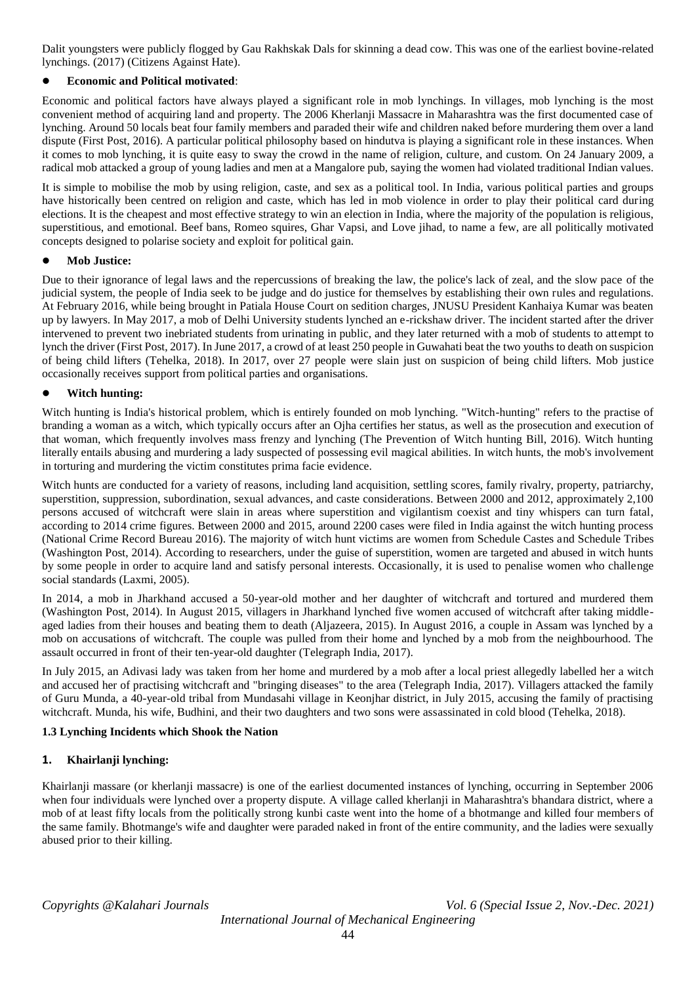Dalit youngsters were publicly flogged by Gau Rakhskak Dals for skinning a dead cow. This was one of the earliest bovine-related lynchings. (2017) (Citizens Against Hate).

# **Economic and Political motivated**:

Economic and political factors have always played a significant role in mob lynchings. In villages, mob lynching is the most convenient method of acquiring land and property. The 2006 Kherlanji Massacre in Maharashtra was the first documented case of lynching. Around 50 locals beat four family members and paraded their wife and children naked before murdering them over a land dispute (First Post, 2016). A particular political philosophy based on hindutva is playing a significant role in these instances. When it comes to mob lynching, it is quite easy to sway the crowd in the name of religion, culture, and custom. On 24 January 2009, a radical mob attacked a group of young ladies and men at a Mangalore pub, saying the women had violated traditional Indian values.

It is simple to mobilise the mob by using religion, caste, and sex as a political tool. In India, various political parties and groups have historically been centred on religion and caste, which has led in mob violence in order to play their political card during elections. It is the cheapest and most effective strategy to win an election in India, where the majority of the population is religious, superstitious, and emotional. Beef bans, Romeo squires, Ghar Vapsi, and Love jihad, to name a few, are all politically motivated concepts designed to polarise society and exploit for political gain.

#### **Mob Justice:**

Due to their ignorance of legal laws and the repercussions of breaking the law, the police's lack of zeal, and the slow pace of the judicial system, the people of India seek to be judge and do justice for themselves by establishing their own rules and regulations. At February 2016, while being brought in Patiala House Court on sedition charges, JNUSU President Kanhaiya Kumar was beaten up by lawyers. In May 2017, a mob of Delhi University students lynched an e-rickshaw driver. The incident started after the driver intervened to prevent two inebriated students from urinating in public, and they later returned with a mob of students to attempt to lynch the driver (First Post, 2017). In June 2017, a crowd of at least 250 people in Guwahati beat the two youths to death on suspicion of being child lifters (Tehelka, 2018). In 2017, over 27 people were slain just on suspicion of being child lifters. Mob justice occasionally receives support from political parties and organisations.

#### **Witch hunting:**

Witch hunting is India's historical problem, which is entirely founded on mob lynching. "Witch-hunting" refers to the practise of branding a woman as a witch, which typically occurs after an Ojha certifies her status, as well as the prosecution and execution of that woman, which frequently involves mass frenzy and lynching (The Prevention of Witch hunting Bill, 2016). Witch hunting literally entails abusing and murdering a lady suspected of possessing evil magical abilities. In witch hunts, the mob's involvement in torturing and murdering the victim constitutes prima facie evidence.

Witch hunts are conducted for a variety of reasons, including land acquisition, settling scores, family rivalry, property, patriarchy, superstition, suppression, subordination, sexual advances, and caste considerations. Between 2000 and 2012, approximately 2,100 persons accused of witchcraft were slain in areas where superstition and vigilantism coexist and tiny whispers can turn fatal, according to 2014 crime figures. Between 2000 and 2015, around 2200 cases were filed in India against the witch hunting process (National Crime Record Bureau 2016). The majority of witch hunt victims are women from Schedule Castes and Schedule Tribes (Washington Post, 2014). According to researchers, under the guise of superstition, women are targeted and abused in witch hunts by some people in order to acquire land and satisfy personal interests. Occasionally, it is used to penalise women who challenge social standards (Laxmi, 2005).

In 2014, a mob in Jharkhand accused a 50-year-old mother and her daughter of witchcraft and tortured and murdered them (Washington Post, 2014). In August 2015, villagers in Jharkhand lynched five women accused of witchcraft after taking middleaged ladies from their houses and beating them to death (Aljazeera, 2015). In August 2016, a couple in Assam was lynched by a mob on accusations of witchcraft. The couple was pulled from their home and lynched by a mob from the neighbourhood. The assault occurred in front of their ten-year-old daughter (Telegraph India, 2017).

In July 2015, an Adivasi lady was taken from her home and murdered by a mob after a local priest allegedly labelled her a witch and accused her of practising witchcraft and "bringing diseases" to the area (Telegraph India, 2017). Villagers attacked the family of Guru Munda, a 40-year-old tribal from Mundasahi village in Keonjhar district, in July 2015, accusing the family of practising witchcraft. Munda, his wife, Budhini, and their two daughters and two sons were assassinated in cold blood (Tehelka, 2018).

#### **1.3 Lynching Incidents which Shook the Nation**

#### **1. Khairlanji lynching:**

Khairlanji massare (or kherlanji massacre) is one of the earliest documented instances of lynching, occurring in September 2006 when four individuals were lynched over a property dispute. A village called kherlanji in Maharashtra's bhandara district, where a mob of at least fifty locals from the politically strong kunbi caste went into the home of a bhotmange and killed four members of the same family. Bhotmange's wife and daughter were paraded naked in front of the entire community, and the ladies were sexually abused prior to their killing.

*Copyrights @Kalahari Journals Vol. 6 (Special Issue 2, Nov.-Dec. 2021)*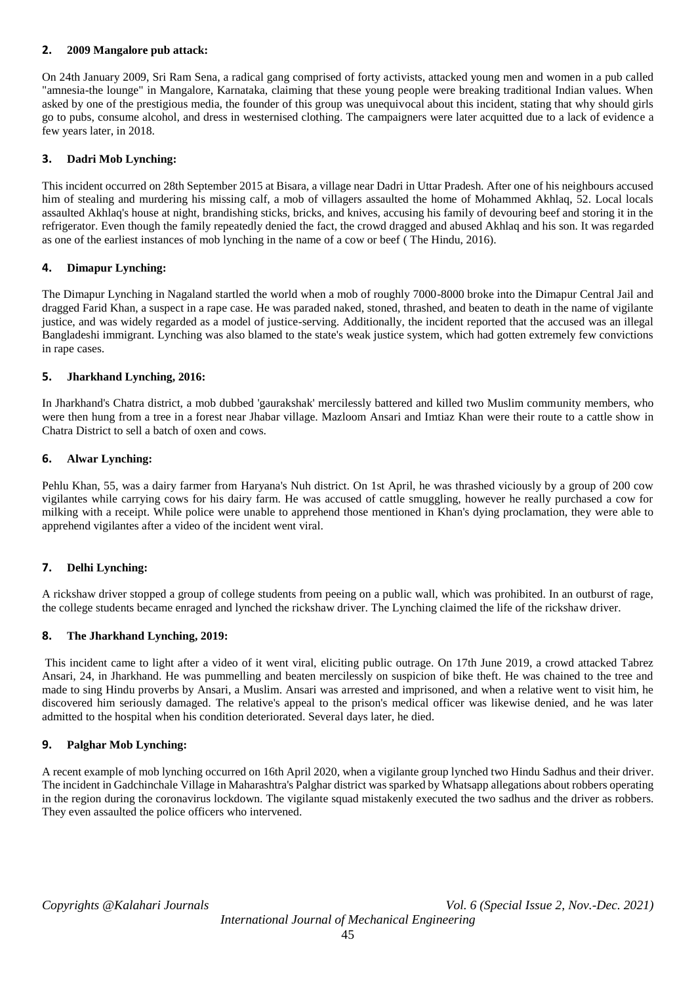### **2. 2009 Mangalore pub attack:**

On 24th January 2009, Sri Ram Sena, a radical gang comprised of forty activists, attacked young men and women in a pub called "amnesia-the lounge" in Mangalore, Karnataka, claiming that these young people were breaking traditional Indian values. When asked by one of the prestigious media, the founder of this group was unequivocal about this incident, stating that why should girls go to pubs, consume alcohol, and dress in westernised clothing. The campaigners were later acquitted due to a lack of evidence a few years later, in 2018.

### **3. Dadri Mob Lynching:**

This incident occurred on 28th September 2015 at Bisara, a village near Dadri in Uttar Pradesh. After one of his neighbours accused him of stealing and murdering his missing calf, a mob of villagers assaulted the home of Mohammed Akhlaq, 52. Local locals assaulted Akhlaq's house at night, brandishing sticks, bricks, and knives, accusing his family of devouring beef and storing it in the refrigerator. Even though the family repeatedly denied the fact, the crowd dragged and abused Akhlaq and his son. It was regarded as one of the earliest instances of mob lynching in the name of a cow or beef ( The Hindu, 2016).

#### **4. Dimapur Lynching:**

The Dimapur Lynching in Nagaland startled the world when a mob of roughly 7000-8000 broke into the Dimapur Central Jail and dragged Farid Khan, a suspect in a rape case. He was paraded naked, stoned, thrashed, and beaten to death in the name of vigilante justice, and was widely regarded as a model of justice-serving. Additionally, the incident reported that the accused was an illegal Bangladeshi immigrant. Lynching was also blamed to the state's weak justice system, which had gotten extremely few convictions in rape cases.

#### **5. Jharkhand Lynching, 2016:**

In Jharkhand's Chatra district, a mob dubbed 'gaurakshak' mercilessly battered and killed two Muslim community members, who were then hung from a tree in a forest near Jhabar village. Mazloom Ansari and Imtiaz Khan were their route to a cattle show in Chatra District to sell a batch of oxen and cows.

#### **6. Alwar Lynching:**

Pehlu Khan, 55, was a dairy farmer from Haryana's Nuh district. On 1st April, he was thrashed viciously by a group of 200 cow vigilantes while carrying cows for his dairy farm. He was accused of cattle smuggling, however he really purchased a cow for milking with a receipt. While police were unable to apprehend those mentioned in Khan's dying proclamation, they were able to apprehend vigilantes after a video of the incident went viral.

#### **7. Delhi Lynching:**

A rickshaw driver stopped a group of college students from peeing on a public wall, which was prohibited. In an outburst of rage, the college students became enraged and lynched the rickshaw driver. The Lynching claimed the life of the rickshaw driver.

#### **8. The Jharkhand Lynching, 2019:**

This incident came to light after a video of it went viral, eliciting public outrage. On 17th June 2019, a crowd attacked Tabrez Ansari, 24, in Jharkhand. He was pummelling and beaten mercilessly on suspicion of bike theft. He was chained to the tree and made to sing Hindu proverbs by Ansari, a Muslim. Ansari was arrested and imprisoned, and when a relative went to visit him, he discovered him seriously damaged. The relative's appeal to the prison's medical officer was likewise denied, and he was later admitted to the hospital when his condition deteriorated. Several days later, he died.

#### **9. Palghar Mob Lynching:**

A recent example of mob lynching occurred on 16th April 2020, when a vigilante group lynched two Hindu Sadhus and their driver. The incident in Gadchinchale Village in Maharashtra's Palghar district was sparked by Whatsapp allegations about robbers operating in the region during the coronavirus lockdown. The vigilante squad mistakenly executed the two sadhus and the driver as robbers. They even assaulted the police officers who intervened.

*Copyrights @Kalahari Journals Vol. 6 (Special Issue 2, Nov.-Dec. 2021)*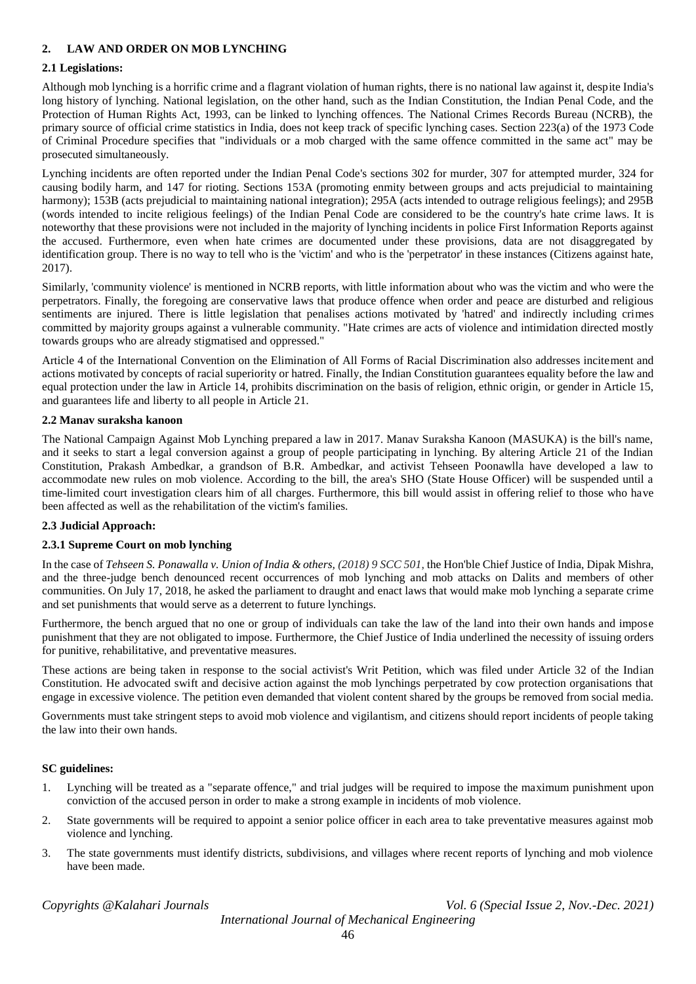## **2. LAW AND ORDER ON MOB LYNCHING**

#### **2.1 Legislations:**

Although mob lynching is a horrific crime and a flagrant violation of human rights, there is no national law against it, despite India's long history of lynching. National legislation, on the other hand, such as the Indian Constitution, the Indian Penal Code, and the Protection of Human Rights Act, 1993, can be linked to lynching offences. The National Crimes Records Bureau (NCRB), the primary source of official crime statistics in India, does not keep track of specific lynching cases. Section 223(a) of the 1973 Code of Criminal Procedure specifies that "individuals or a mob charged with the same offence committed in the same act" may be prosecuted simultaneously.

Lynching incidents are often reported under the Indian Penal Code's sections 302 for murder, 307 for attempted murder, 324 for causing bodily harm, and 147 for rioting. Sections 153A (promoting enmity between groups and acts prejudicial to maintaining harmony); 153B (acts prejudicial to maintaining national integration); 295A (acts intended to outrage religious feelings); and 295B (words intended to incite religious feelings) of the Indian Penal Code are considered to be the country's hate crime laws. It is noteworthy that these provisions were not included in the majority of lynching incidents in police First Information Reports against the accused. Furthermore, even when hate crimes are documented under these provisions, data are not disaggregated by identification group. There is no way to tell who is the 'victim' and who is the 'perpetrator' in these instances (Citizens against hate, 2017).

Similarly, 'community violence' is mentioned in NCRB reports, with little information about who was the victim and who were the perpetrators. Finally, the foregoing are conservative laws that produce offence when order and peace are disturbed and religious sentiments are injured. There is little legislation that penalises actions motivated by 'hatred' and indirectly including crimes committed by majority groups against a vulnerable community. "Hate crimes are acts of violence and intimidation directed mostly towards groups who are already stigmatised and oppressed."

Article 4 of the International Convention on the Elimination of All Forms of Racial Discrimination also addresses incitement and actions motivated by concepts of racial superiority or hatred. Finally, the Indian Constitution guarantees equality before the law and equal protection under the law in Article 14, prohibits discrimination on the basis of religion, ethnic origin, or gender in Article 15, and guarantees life and liberty to all people in Article 21.

#### **2.2 Manav suraksha kanoon**

The National Campaign Against Mob Lynching prepared a law in 2017. Manav Suraksha Kanoon (MASUKA) is the bill's name, and it seeks to start a legal conversion against a group of people participating in lynching. By altering Article 21 of the Indian Constitution, Prakash Ambedkar, a grandson of B.R. Ambedkar, and activist Tehseen Poonawlla have developed a law to accommodate new rules on mob violence. According to the bill, the area's SHO (State House Officer) will be suspended until a time-limited court investigation clears him of all charges. Furthermore, this bill would assist in offering relief to those who have been affected as well as the rehabilitation of the victim's families.

#### **2.3 Judicial Approach:**

#### **2.3.1 Supreme Court on mob lynching**

In the case of *Tehseen S. Ponawalla v. Union of India & others, (2018) 9 SCC 501*, the Hon'ble Chief Justice of India, Dipak Mishra, and the three-judge bench denounced recent occurrences of mob lynching and mob attacks on Dalits and members of other communities. On July 17, 2018, he asked the parliament to draught and enact laws that would make mob lynching a separate crime and set punishments that would serve as a deterrent to future lynchings.

Furthermore, the bench argued that no one or group of individuals can take the law of the land into their own hands and impose punishment that they are not obligated to impose. Furthermore, the Chief Justice of India underlined the necessity of issuing orders for punitive, rehabilitative, and preventative measures.

These actions are being taken in response to the social activist's Writ Petition, which was filed under Article 32 of the Indian Constitution. He advocated swift and decisive action against the mob lynchings perpetrated by cow protection organisations that engage in excessive violence. The petition even demanded that violent content shared by the groups be removed from social media.

Governments must take stringent steps to avoid mob violence and vigilantism, and citizens should report incidents of people taking the law into their own hands.

#### **SC guidelines:**

- 1. Lynching will be treated as a "separate offence," and trial judges will be required to impose the maximum punishment upon conviction of the accused person in order to make a strong example in incidents of mob violence.
- 2. State governments will be required to appoint a senior police officer in each area to take preventative measures against mob violence and lynching.
- 3. The state governments must identify districts, subdivisions, and villages where recent reports of lynching and mob violence have been made.

*Copyrights @Kalahari Journals Vol. 6 (Special Issue 2, Nov.-Dec. 2021)*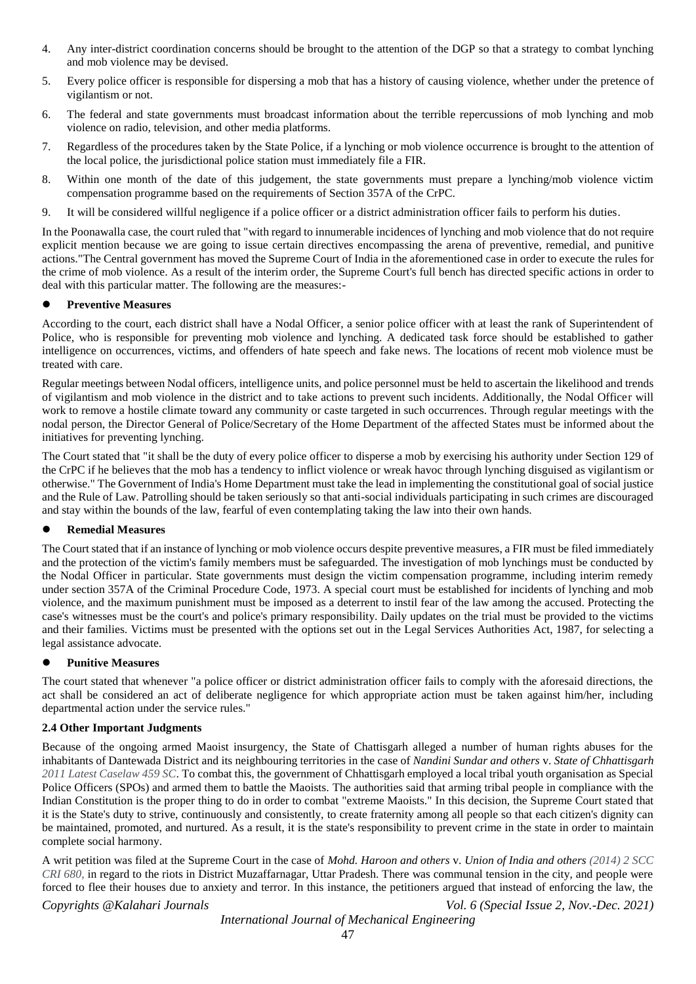- 4. Any inter-district coordination concerns should be brought to the attention of the DGP so that a strategy to combat lynching and mob violence may be devised.
- 5. Every police officer is responsible for dispersing a mob that has a history of causing violence, whether under the pretence of vigilantism or not.
- 6. The federal and state governments must broadcast information about the terrible repercussions of mob lynching and mob violence on radio, television, and other media platforms.
- 7. Regardless of the procedures taken by the State Police, if a lynching or mob violence occurrence is brought to the attention of the local police, the jurisdictional police station must immediately file a FIR.
- 8. Within one month of the date of this judgement, the state governments must prepare a lynching/mob violence victim compensation programme based on the requirements of Section 357A of the CrPC.
- 9. It will be considered willful negligence if a police officer or a district administration officer fails to perform his duties.

In the Poonawalla case, the court ruled that "with regard to innumerable incidences of lynching and mob violence that do not require explicit mention because we are going to issue certain directives encompassing the arena of preventive, remedial, and punitive actions."The Central government has moved the Supreme Court of India in the aforementioned case in order to execute the rules for the crime of mob violence. As a result of the interim order, the Supreme Court's full bench has directed specific actions in order to deal with this particular matter. The following are the measures:-

#### **Preventive Measures**

According to the court, each district shall have a Nodal Officer, a senior police officer with at least the rank of Superintendent of Police, who is responsible for preventing mob violence and lynching. A dedicated task force should be established to gather intelligence on occurrences, victims, and offenders of hate speech and fake news. The locations of recent mob violence must be treated with care.

Regular meetings between Nodal officers, intelligence units, and police personnel must be held to ascertain the likelihood and trends of vigilantism and mob violence in the district and to take actions to prevent such incidents. Additionally, the Nodal Officer will work to remove a hostile climate toward any community or caste targeted in such occurrences. Through regular meetings with the nodal person, the Director General of Police/Secretary of the Home Department of the affected States must be informed about the initiatives for preventing lynching.

The Court stated that "it shall be the duty of every police officer to disperse a mob by exercising his authority under Section 129 of the CrPC if he believes that the mob has a tendency to inflict violence or wreak havoc through lynching disguised as vigilantism or otherwise." The Government of India's Home Department must take the lead in implementing the constitutional goal of social justice and the Rule of Law. Patrolling should be taken seriously so that anti-social individuals participating in such crimes are discouraged and stay within the bounds of the law, fearful of even contemplating taking the law into their own hands.

#### **Remedial Measures**

The Court stated that if an instance of lynching or mob violence occurs despite preventive measures, a FIR must be filed immediately and the protection of the victim's family members must be safeguarded. The investigation of mob lynchings must be conducted by the Nodal Officer in particular. State governments must design the victim compensation programme, including interim remedy under section 357A of the Criminal Procedure Code, 1973. A special court must be established for incidents of lynching and mob violence, and the maximum punishment must be imposed as a deterrent to instil fear of the law among the accused. Protecting the case's witnesses must be the court's and police's primary responsibility. Daily updates on the trial must be provided to the victims and their families. Victims must be presented with the options set out in the Legal Services Authorities Act, 1987, for selecting a legal assistance advocate.

# **Punitive Measures**

The court stated that whenever "a police officer or district administration officer fails to comply with the aforesaid directions, the act shall be considered an act of deliberate negligence for which appropriate action must be taken against him/her, including departmental action under the service rules."

#### **2.4 Other Important Judgments**

Because of the ongoing armed Maoist insurgency, the State of Chattisgarh alleged a number of human rights abuses for the inhabitants of Dantewada District and its neighbouring territories in the case of *Nandini Sundar and others* v. *State of Chhattisgarh 2011 Latest Caselaw 459 SC*. To combat this, the government of Chhattisgarh employed a local tribal youth organisation as Special Police Officers (SPOs) and armed them to battle the Maoists. The authorities said that arming tribal people in compliance with the Indian Constitution is the proper thing to do in order to combat "extreme Maoists." In this decision, the Supreme Court stated that it is the State's duty to strive, continuously and consistently, to create fraternity among all people so that each citizen's dignity can be maintained, promoted, and nurtured. As a result, it is the state's responsibility to prevent crime in the state in order to maintain complete social harmony.

A writ petition was filed at the Supreme Court in the case of *Mohd. Haroon and others* v. *Union of India and others (2014) 2 SCC CRI 680*, in regard to the riots in District Muzaffarnagar, Uttar Pradesh. There was communal tension in the city, and people were forced to flee their houses due to anxiety and terror. In this instance, the petitioners argued that instead of enforcing the law, the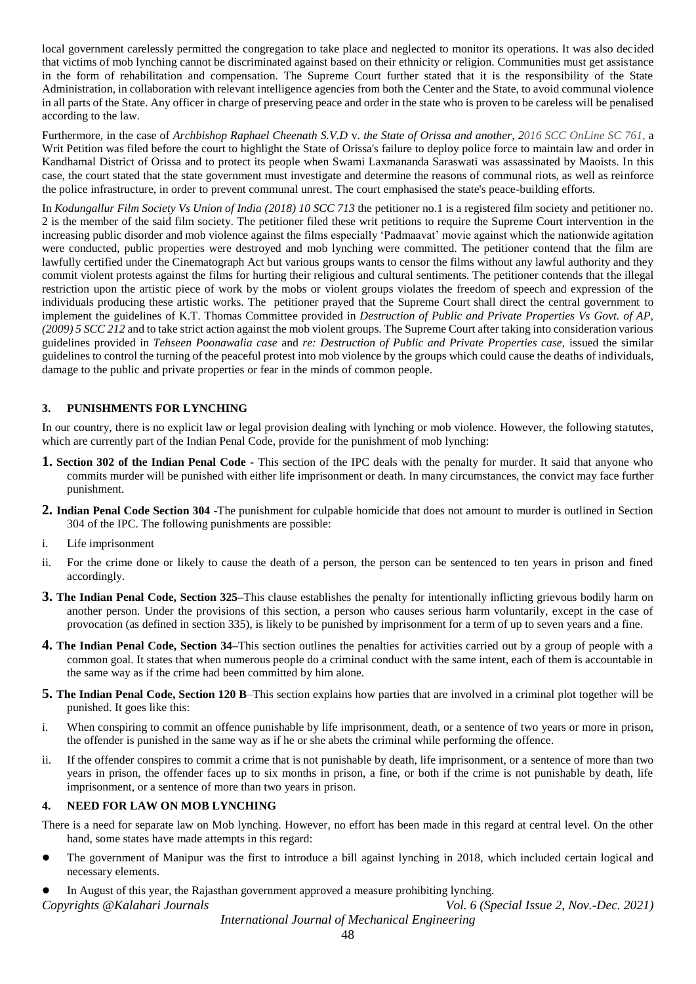local government carelessly permitted the congregation to take place and neglected to monitor its operations. It was also decided that victims of mob lynching cannot be discriminated against based on their ethnicity or religion. Communities must get assistance in the form of rehabilitation and compensation. The Supreme Court further stated that it is the responsibility of the State Administration, in collaboration with relevant intelligence agencies from both the Center and the State, to avoid communal violence in all parts of the State. Any officer in charge of preserving peace and order in the state who is proven to be careless will be penalised according to the law.

Furthermore, in the case of *Archbishop Raphael Cheenath S.V.D* v. *the State of Orissa and another*, *2016 SCC OnLine SC 761,* a Writ Petition was filed before the court to highlight the State of Orissa's failure to deploy police force to maintain law and order in Kandhamal District of Orissa and to protect its people when Swami Laxmananda Saraswati was assassinated by Maoists. In this case, the court stated that the state government must investigate and determine the reasons of communal riots, as well as reinforce the police infrastructure, in order to prevent communal unrest. The court emphasised the state's peace-building efforts.

In *Kodungallur Film Society Vs Union of India (2018) 10 SCC 713* the petitioner no.1 is a registered film society and petitioner no. 2 is the member of the said film society. The petitioner filed these writ petitions to require the Supreme Court intervention in the increasing public disorder and mob violence against the films especially 'Padmaavat' movie against which the nationwide agitation were conducted, public properties were destroyed and mob lynching were committed. The petitioner contend that the film are lawfully certified under the Cinematograph Act but various groups wants to censor the films without any lawful authority and they commit violent protests against the films for hurting their religious and cultural sentiments. The petitioner contends that the illegal restriction upon the artistic piece of work by the mobs or violent groups violates the freedom of speech and expression of the individuals producing these artistic works. The petitioner prayed that the Supreme Court shall direct the central government to implement the guidelines of K.T. Thomas Committee provided in *Destruction of Public and Private Properties Vs Govt. of AP, (2009) 5 SCC 212* and to take strict action against the mob violent groups. The Supreme Court after taking into consideration various guidelines provided in *Tehseen Poonawalia case* and *re: Destruction of Public and Private Properties case,* issued the similar guidelines to control the turning of the peaceful protest into mob violence by the groups which could cause the deaths of individuals, damage to the public and private properties or fear in the minds of common people.

### **3. PUNISHMENTS FOR LYNCHING**

In our country, there is no explicit law or legal provision dealing with lynching or mob violence. However, the following statutes, which are currently part of the Indian Penal Code, provide for the punishment of mob lynching:

- **1. Section 302 of the Indian Penal Code -** This section of the IPC deals with the penalty for murder. It said that anyone who commits murder will be punished with either life imprisonment or death. In many circumstances, the convict may face further punishment.
- **2. Indian Penal Code Section 304 -**The punishment for culpable homicide that does not amount to murder is outlined in Section 304 of the IPC. The following punishments are possible:
- i. Life imprisonment
- ii. For the crime done or likely to cause the death of a person, the person can be sentenced to ten years in prison and fined accordingly.
- **3. The Indian Penal Code, Section 325–**This clause establishes the penalty for intentionally inflicting grievous bodily harm on another person. Under the provisions of this section, a person who causes serious harm voluntarily, except in the case of provocation (as defined in section 335), is likely to be punished by imprisonment for a term of up to seven years and a fine.
- **4. The Indian Penal Code, Section 34–**This section outlines the penalties for activities carried out by a group of people with a common goal. It states that when numerous people do a criminal conduct with the same intent, each of them is accountable in the same way as if the crime had been committed by him alone.
- **5. The Indian Penal Code, Section 120 B**–This section explains how parties that are involved in a criminal plot together will be punished. It goes like this:
- i. When conspiring to commit an offence punishable by life imprisonment, death, or a sentence of two years or more in prison, the offender is punished in the same way as if he or she abets the criminal while performing the offence.
- ii. If the offender conspires to commit a crime that is not punishable by death, life imprisonment, or a sentence of more than two years in prison, the offender faces up to six months in prison, a fine, or both if the crime is not punishable by death, life imprisonment, or a sentence of more than two years in prison.

#### **4. NEED FOR LAW ON MOB LYNCHING**

There is a need for separate law on Mob lynching. However, no effort has been made in this regard at central level. On the other hand, some states have made attempts in this regard:

 The government of Manipur was the first to introduce a bill against lynching in 2018, which included certain logical and necessary elements.

*Copyrights @Kalahari Journals Vol. 6 (Special Issue 2, Nov.-Dec. 2021)* In August of this year, the Rajasthan government approved a measure prohibiting lynching.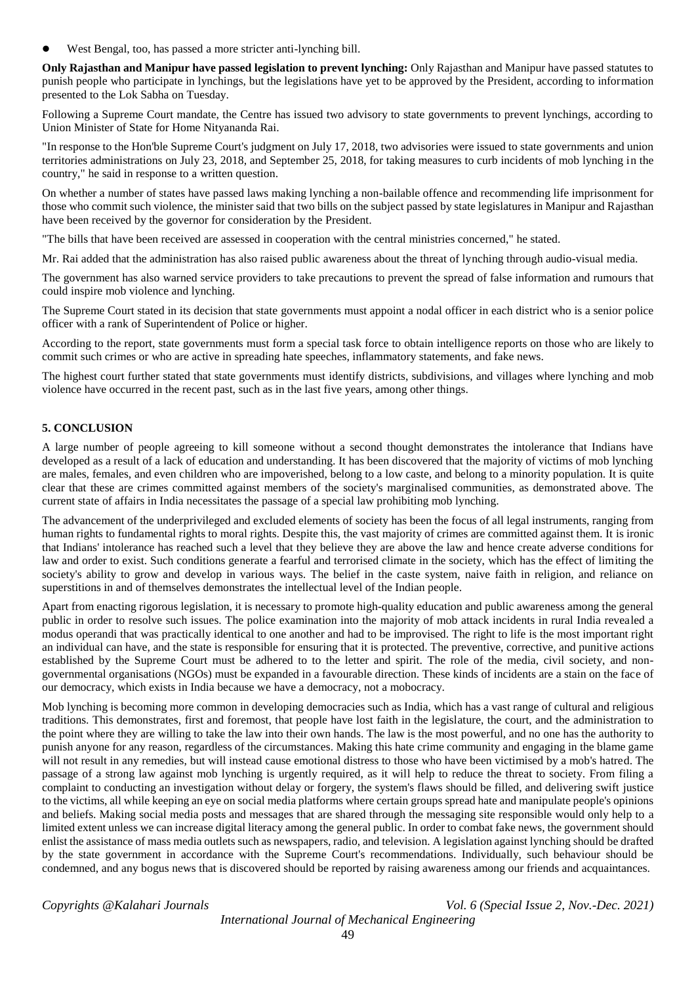West Bengal, too, has passed a more stricter anti-lynching bill.

**Only Rajasthan and Manipur have passed legislation to prevent lynching:** Only Rajasthan and Manipur have passed statutes to punish people who participate in lynchings, but the legislations have yet to be approved by the President, according to information presented to the Lok Sabha on Tuesday.

Following a Supreme Court mandate, the Centre has issued two advisory to state governments to prevent lynchings, according to Union Minister of State for Home Nityananda Rai.

"In response to the Hon'ble Supreme Court's judgment on July 17, 2018, two advisories were issued to state governments and union territories administrations on July 23, 2018, and September 25, 2018, for taking measures to curb incidents of mob lynching in the country," he said in response to a written question.

On whether a number of states have passed laws making lynching a non-bailable offence and recommending life imprisonment for those who commit such violence, the minister said that two bills on the subject passed by state legislatures in Manipur and Rajasthan have been received by the governor for consideration by the President.

"The bills that have been received are assessed in cooperation with the central ministries concerned," he stated.

Mr. Rai added that the administration has also raised public awareness about the threat of lynching through audio-visual media.

The government has also warned service providers to take precautions to prevent the spread of false information and rumours that could inspire mob violence and lynching.

The Supreme Court stated in its decision that state governments must appoint a nodal officer in each district who is a senior police officer with a rank of Superintendent of Police or higher.

According to the report, state governments must form a special task force to obtain intelligence reports on those who are likely to commit such crimes or who are active in spreading hate speeches, inflammatory statements, and fake news.

The highest court further stated that state governments must identify districts, subdivisions, and villages where lynching and mob violence have occurred in the recent past, such as in the last five years, among other things.

#### **5. CONCLUSION**

A large number of people agreeing to kill someone without a second thought demonstrates the intolerance that Indians have developed as a result of a lack of education and understanding. It has been discovered that the majority of victims of mob lynching are males, females, and even children who are impoverished, belong to a low caste, and belong to a minority population. It is quite clear that these are crimes committed against members of the society's marginalised communities, as demonstrated above. The current state of affairs in India necessitates the passage of a special law prohibiting mob lynching.

The advancement of the underprivileged and excluded elements of society has been the focus of all legal instruments, ranging from human rights to fundamental rights to moral rights. Despite this, the vast majority of crimes are committed against them. It is ironic that Indians' intolerance has reached such a level that they believe they are above the law and hence create adverse conditions for law and order to exist. Such conditions generate a fearful and terrorised climate in the society, which has the effect of limiting the society's ability to grow and develop in various ways. The belief in the caste system, naive faith in religion, and reliance on superstitions in and of themselves demonstrates the intellectual level of the Indian people.

Apart from enacting rigorous legislation, it is necessary to promote high-quality education and public awareness among the general public in order to resolve such issues. The police examination into the majority of mob attack incidents in rural India revealed a modus operandi that was practically identical to one another and had to be improvised. The right to life is the most important right an individual can have, and the state is responsible for ensuring that it is protected. The preventive, corrective, and punitive actions established by the Supreme Court must be adhered to to the letter and spirit. The role of the media, civil society, and nongovernmental organisations (NGOs) must be expanded in a favourable direction. These kinds of incidents are a stain on the face of our democracy, which exists in India because we have a democracy, not a mobocracy.

Mob lynching is becoming more common in developing democracies such as India, which has a vast range of cultural and religious traditions. This demonstrates, first and foremost, that people have lost faith in the legislature, the court, and the administration to the point where they are willing to take the law into their own hands. The law is the most powerful, and no one has the authority to punish anyone for any reason, regardless of the circumstances. Making this hate crime community and engaging in the blame game will not result in any remedies, but will instead cause emotional distress to those who have been victimised by a mob's hatred. The passage of a strong law against mob lynching is urgently required, as it will help to reduce the threat to society. From filing a complaint to conducting an investigation without delay or forgery, the system's flaws should be filled, and delivering swift justice to the victims, all while keeping an eye on social media platforms where certain groups spread hate and manipulate people's opinions and beliefs. Making social media posts and messages that are shared through the messaging site responsible would only help to a limited extent unless we can increase digital literacy among the general public. In order to combat fake news, the government should enlist the assistance of mass media outlets such as newspapers, radio, and television. A legislation against lynching should be drafted by the state government in accordance with the Supreme Court's recommendations. Individually, such behaviour should be condemned, and any bogus news that is discovered should be reported by raising awareness among our friends and acquaintances.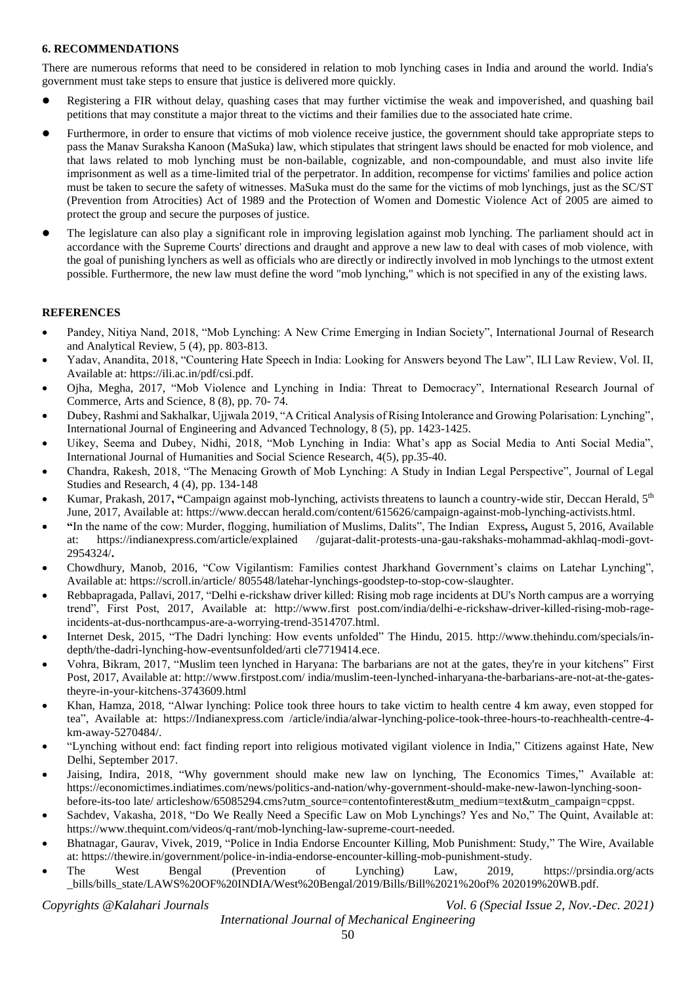#### **6. RECOMMENDATIONS**

There are numerous reforms that need to be considered in relation to mob lynching cases in India and around the world. India's government must take steps to ensure that justice is delivered more quickly.

- Registering a FIR without delay, quashing cases that may further victimise the weak and impoverished, and quashing bail petitions that may constitute a major threat to the victims and their families due to the associated hate crime.
- Furthermore, in order to ensure that victims of mob violence receive justice, the government should take appropriate steps to pass the Manav Suraksha Kanoon (MaSuka) law, which stipulates that stringent laws should be enacted for mob violence, and that laws related to mob lynching must be non-bailable, cognizable, and non-compoundable, and must also invite life imprisonment as well as a time-limited trial of the perpetrator. In addition, recompense for victims' families and police action must be taken to secure the safety of witnesses. MaSuka must do the same for the victims of mob lynchings, just as the SC/ST (Prevention from Atrocities) Act of 1989 and the Protection of Women and Domestic Violence Act of 2005 are aimed to protect the group and secure the purposes of justice.
- The legislature can also play a significant role in improving legislation against mob lynching. The parliament should act in accordance with the Supreme Courts' directions and draught and approve a new law to deal with cases of mob violence, with the goal of punishing lynchers as well as officials who are directly or indirectly involved in mob lynchings to the utmost extent possible. Furthermore, the new law must define the word "mob lynching," which is not specified in any of the existing laws.

### **REFERENCES**

- Pandey, Nitiya Nand, 2018, "Mob Lynching: A New Crime Emerging in Indian Society", International Journal of Research and Analytical Review, 5 (4), pp. 803-813.
- Yadav, Anandita, 2018, "Countering Hate Speech in India: Looking for Answers beyond The Law", ILI Law Review, Vol. II, Available at: https://ili.ac.in/pdf/csi.pdf.
- Ojha, Megha, 2017, "Mob Violence and Lynching in India: Threat to Democracy", International Research Journal of Commerce, Arts and Science, 8 (8), pp. 70- 74.
- Dubey, Rashmi and Sakhalkar, Ujjwala 2019, "A Critical Analysis of Rising Intolerance and Growing Polarisation: Lynching", International Journal of Engineering and Advanced Technology, 8 (5), pp. 1423-1425.
- Uikey, Seema and Dubey, Nidhi, 2018, "Mob Lynching in India: What's app as Social Media to Anti Social Media", International Journal of Humanities and Social Science Research, 4(5), pp.35-40.
- Chandra, Rakesh, 2018, "The Menacing Growth of Mob Lynching: A Study in Indian Legal Perspective", Journal of Legal Studies and Research, 4 (4), pp. 134-148
- Kumar, Prakash, 2017**, "**Campaign against mob-lynching, activists threatens to launch a country-wide stir, Deccan Herald, 5th June, 2017, Available at: https://www.deccan herald.com/content/615626/campaign-against-mob-lynching-activists.html.
- **"**In the name of the cow: Murder, flogging, humiliation of Muslims, Dalits", The Indian Express**,** August 5, 2016, Available at: https://indianexpress.com/article/explained /gujarat-dalit-protests-una-gau-rakshaks-mohammad-akhlaq-modi-govt-2954324/**.**
- Chowdhury, Manob, 2016, "Cow Vigilantism: Families contest Jharkhand Government's claims on Latehar Lynching", Available at: https://scroll.in/article/ 805548/latehar-lynchings-goodstep-to-stop-cow-slaughter.
- Rebbapragada, Pallavi, 2017, "Delhi e-rickshaw driver killed: Rising mob rage incidents at DU's North campus are a worrying trend", First Post, 2017, Available at: http://www.first post.com/india/delhi-e-rickshaw-driver-killed-rising-mob-rageincidents-at-dus-northcampus-are-a-worrying-trend-3514707.html.
- Internet Desk, 2015, "The Dadri lynching: How events unfolded" The Hindu, 2015. http://www.thehindu.com/specials/indepth/the-dadri-lynching-how-eventsunfolded/arti cle7719414.ece.
- Vohra, Bikram, 2017, "Muslim teen lynched in Haryana: The barbarians are not at the gates, they're in your kitchens" First Post, 2017, Available at: http://www.firstpost.com/ india/muslim-teen-lynched-inharyana-the-barbarians-are-not-at-the-gatestheyre-in-your-kitchens-3743609.html
- Khan, Hamza, 2018, "Alwar lynching: Police took three hours to take victim to health centre 4 km away, even stopped for tea", Available at: https://Indianexpress.com /article/india/alwar-lynching-police-took-three-hours-to-reachhealth-centre-4 km-away-5270484/.
- "Lynching without end: fact finding report into religious motivated vigilant violence in India," Citizens against Hate, New Delhi, September 2017.
- Jaising, Indira, 2018, "Why government should make new law on lynching, The Economics Times," Available at: https://economictimes.indiatimes.com/news/politics-and-nation/why-government-should-make-new-lawon-lynching-soonbefore-its-too late/ articleshow/65085294.cms?utm\_source=contentofinterest&utm\_medium=text&utm\_campaign=cppst.
- Sachdev, Vakasha, 2018, "Do We Really Need a Specific Law on Mob Lynchings? Yes and No," The Quint, Available at: [https://www.thequint.com/videos/q-rant/mob-lynching-law-supreme-court-needed.](https://www.thequint.com/videos/q-rant/mob-lynching-law-supreme-court-needed)
- Bhatnagar, Gaurav, Vivek, 2019, "Police in India Endorse Encounter Killing, Mob Punishment: Study," The Wire, Available at: https://thewire.in/government/police-in-india-endorse-encounter-killing-mob-punishment-study.
- The West Bengal (Prevention of Lynching) Law, 2019, https://prsindia.org/acts \_bills/bills\_state/LAWS%20OF%20INDIA/West%20Bengal/2019/Bills/Bill%2021%20of% 202019%20WB.pdf.